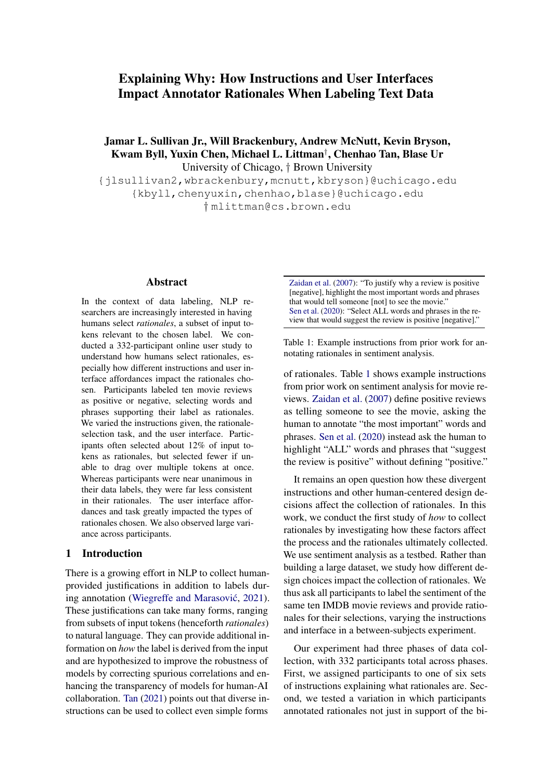# Explaining Why: How Instructions and User Interfaces Impact Annotator Rationales When Labeling Text Data

Jamar L. Sullivan Jr., Will Brackenbury, Andrew McNutt, Kevin Bryson, Kwam Byll, Yuxin Chen, Michael L. Littman† , Chenhao Tan, Blase Ur University of Chicago, † Brown University

{jlsullivan2,wbrackenbury,mcnutt,kbryson}@uchicago.edu {kbyll,chenyuxin,chenhao,blase}@uchicago.edu † mlittman@cs.brown.edu

#### Abstract

In the context of data labeling, NLP researchers are increasingly interested in having humans select *rationales*, a subset of input tokens relevant to the chosen label. We conducted a 332-participant online user study to understand how humans select rationales, especially how different instructions and user interface affordances impact the rationales chosen. Participants labeled ten movie reviews as positive or negative, selecting words and phrases supporting their label as rationales. We varied the instructions given, the rationaleselection task, and the user interface. Participants often selected about 12% of input tokens as rationales, but selected fewer if unable to drag over multiple tokens at once. Whereas participants were near unanimous in their data labels, they were far less consistent in their rationales. The user interface affordances and task greatly impacted the types of rationales chosen. We also observed large variance across participants.

#### <span id="page-0-1"></span>1 Introduction

There is a growing effort in NLP to collect humanprovided justifications in addition to labels dur-ing annotation (Wiegreffe and Marasović, [2021\)](#page-9-0). These justifications can take many forms, ranging from subsets of input tokens (henceforth *rationales*) to natural language. They can provide additional information on *how* the label is derived from the input and are hypothesized to improve the robustness of models by correcting spurious correlations and enhancing the transparency of models for human-AI collaboration. [Tan](#page-9-1) [\(2021\)](#page-9-1) points out that diverse instructions can be used to collect even simple forms

<span id="page-0-0"></span>[Zaidan et al.](#page-9-2) [\(2007\)](#page-9-2): "To justify why a review is positive [negative], highlight the most important words and phrases that would tell someone [not] to see the movie.' [Sen et al.](#page-9-3) [\(2020\)](#page-9-3): "Select ALL words and phrases in the review that would suggest the review is positive [negative]."

Table 1: Example instructions from prior work for annotating rationales in sentiment analysis.

of rationales. Table [1](#page-0-0) shows example instructions from prior work on sentiment analysis for movie reviews. [Zaidan et al.](#page-9-2) [\(2007\)](#page-9-2) define positive reviews as telling someone to see the movie, asking the human to annotate "the most important" words and phrases. [Sen et al.](#page-9-3) [\(2020\)](#page-9-3) instead ask the human to highlight "ALL" words and phrases that "suggest the review is positive" without defining "positive."

It remains an open question how these divergent instructions and other human-centered design decisions affect the collection of rationales. In this work, we conduct the first study of *how* to collect rationales by investigating how these factors affect the process and the rationales ultimately collected. We use sentiment analysis as a testbed. Rather than building a large dataset, we study how different design choices impact the collection of rationales. We thus ask all participants to label the sentiment of the same ten IMDB movie reviews and provide rationales for their selections, varying the instructions and interface in a between-subjects experiment.

Our experiment had three phases of data collection, with 332 participants total across phases. First, we assigned participants to one of six sets of instructions explaining what rationales are. Second, we tested a variation in which participants annotated rationales not just in support of the bi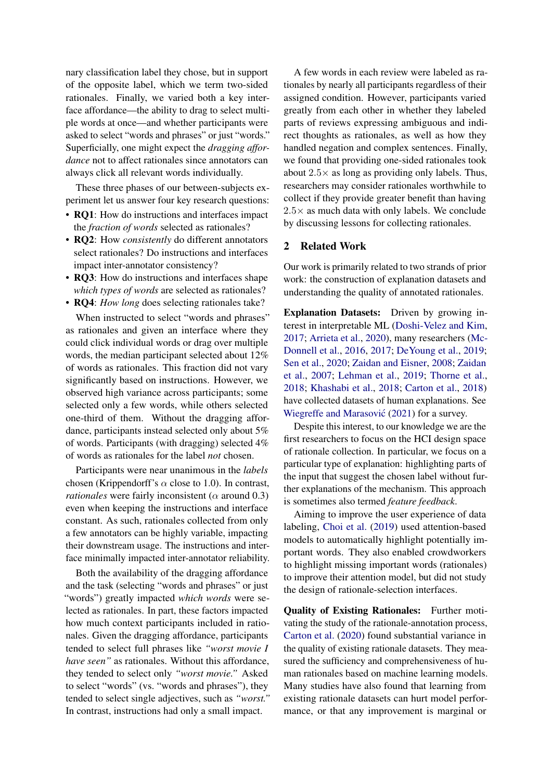nary classification label they chose, but in support of the opposite label, which we term two-sided rationales. Finally, we varied both a key interface affordance—the ability to drag to select multiple words at once—and whether participants were asked to select "words and phrases" or just "words." Superficially, one might expect the *dragging affordance* not to affect rationales since annotators can always click all relevant words individually.

These three phases of our between-subjects experiment let us answer four key research questions:

- **RQ1**: How do instructions and interfaces impact the *fraction of words* selected as rationales?
- RQ2: How *consistently* do different annotators select rationales? Do instructions and interfaces impact inter-annotator consistency?
- RQ3: How do instructions and interfaces shape *which types of words* are selected as rationales?
- **RQ4**: *How long* does selecting rationales take?

When instructed to select "words and phrases" as rationales and given an interface where they could click individual words or drag over multiple words, the median participant selected about 12% of words as rationales. This fraction did not vary significantly based on instructions. However, we observed high variance across participants; some selected only a few words, while others selected one-third of them. Without the dragging affordance, participants instead selected only about 5% of words. Participants (with dragging) selected 4% of words as rationales for the label *not* chosen.

Participants were near unanimous in the *labels* chosen (Krippendorff's  $\alpha$  close to 1.0). In contrast, *rationales* were fairly inconsistent ( $\alpha$  around 0.3) even when keeping the instructions and interface constant. As such, rationales collected from only a few annotators can be highly variable, impacting their downstream usage. The instructions and interface minimally impacted inter-annotator reliability.

Both the availability of the dragging affordance and the task (selecting "words and phrases" or just "words") greatly impacted *which words* were selected as rationales. In part, these factors impacted how much context participants included in rationales. Given the dragging affordance, participants tended to select full phrases like *"worst movie I have seen"* as rationales. Without this affordance, they tended to select only *"worst movie."* Asked to select "words" (vs. "words and phrases"), they tended to select single adjectives, such as *"worst."* In contrast, instructions had only a small impact.

A few words in each review were labeled as rationales by nearly all participants regardless of their assigned condition. However, participants varied greatly from each other in whether they labeled parts of reviews expressing ambiguous and indirect thoughts as rationales, as well as how they handled negation and complex sentences. Finally, we found that providing one-sided rationales took about  $2.5\times$  as long as providing only labels. Thus, researchers may consider rationales worthwhile to collect if they provide greater benefit than having  $2.5\times$  as much data with only labels. We conclude by discussing lessons for collecting rationales.

### 2 Related Work

Our work is primarily related to two strands of prior work: the construction of explanation datasets and understanding the quality of annotated rationales.

Explanation Datasets: Driven by growing interest in interpretable ML [\(Doshi-Velez and Kim,](#page-8-0) [2017;](#page-8-0) [Arrieta et al.,](#page-8-1) [2020\)](#page-8-1), many researchers [\(Mc-](#page-9-4)[Donnell et al.,](#page-9-4) [2016,](#page-9-4) [2017;](#page-9-5) [DeYoung et al.,](#page-8-2) [2019;](#page-8-2) [Sen et al.,](#page-9-3) [2020;](#page-9-3) [Zaidan and Eisner,](#page-9-6) [2008;](#page-9-6) [Zaidan](#page-9-2) [et al.,](#page-9-2) [2007;](#page-9-2) [Lehman et al.,](#page-8-3) [2019;](#page-8-3) [Thorne et al.,](#page-9-7) [2018;](#page-9-7) [Khashabi et al.,](#page-8-4) [2018;](#page-8-4) [Carton et al.,](#page-8-5) [2018\)](#page-8-5) have collected datasets of human explanations. See Wiegreffe and Marasović [\(2021\)](#page-9-0) for a survey.

Despite this interest, to our knowledge we are the first researchers to focus on the HCI design space of rationale collection. In particular, we focus on a particular type of explanation: highlighting parts of the input that suggest the chosen label without further explanations of the mechanism. This approach is sometimes also termed *feature feedback*.

Aiming to improve the user experience of data labeling, [Choi et al.](#page-8-6) [\(2019\)](#page-8-6) used attention-based models to automatically highlight potentially important words. They also enabled crowdworkers to highlight missing important words (rationales) to improve their attention model, but did not study the design of rationale-selection interfaces.

Quality of Existing Rationales: Further motivating the study of the rationale-annotation process, [Carton et al.](#page-8-7) [\(2020\)](#page-8-7) found substantial variance in the quality of existing rationale datasets. They measured the sufficiency and comprehensiveness of human rationales based on machine learning models. Many studies have also found that learning from existing rationale datasets can hurt model performance, or that any improvement is marginal or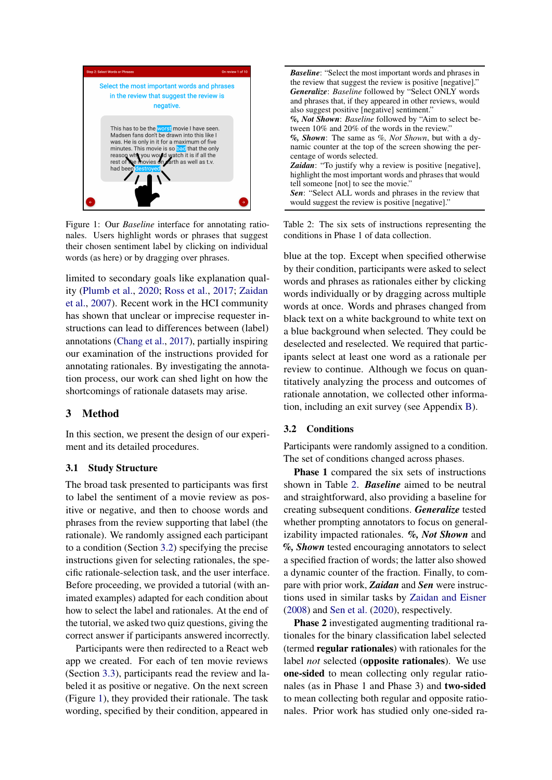<span id="page-2-1"></span>

Figure 1: Our *Baseline* interface for annotating rationales. Users highlight words or phrases that suggest their chosen sentiment label by clicking on individual words (as here) or by dragging over phrases.

limited to secondary goals like explanation quality [\(Plumb et al.,](#page-9-8) [2020;](#page-9-8) [Ross et al.,](#page-9-9) [2017;](#page-9-9) [Zaidan](#page-9-2) [et al.,](#page-9-2) [2007\)](#page-9-2). Recent work in the HCI community has shown that unclear or imprecise requester instructions can lead to differences between (label) annotations [\(Chang et al.,](#page-8-8) [2017\)](#page-8-8), partially inspiring our examination of the instructions provided for annotating rationales. By investigating the annotation process, our work can shed light on how the shortcomings of rationale datasets may arise.

## 3 Method

In this section, we present the design of our experiment and its detailed procedures.

#### 3.1 Study Structure

The broad task presented to participants was first to label the sentiment of a movie review as positive or negative, and then to choose words and phrases from the review supporting that label (the rationale). We randomly assigned each participant to a condition (Section [3.2\)](#page-2-0) specifying the precise instructions given for selecting rationales, the specific rationale-selection task, and the user interface. Before proceeding, we provided a tutorial (with animated examples) adapted for each condition about how to select the label and rationales. At the end of the tutorial, we asked two quiz questions, giving the correct answer if participants answered incorrectly.

Participants were then redirected to a React web app we created. For each of ten movie reviews (Section [3.3\)](#page-3-0), participants read the review and labeled it as positive or negative. On the next screen (Figure [1\)](#page-2-1), they provided their rationale. The task wording, specified by their condition, appeared in

<span id="page-2-2"></span>*Baseline*: "Select the most important words and phrases in the review that suggest the review is positive [negative]." *Generalize*: *Baseline* followed by "Select ONLY words and phrases that, if they appeared in other reviews, would also suggest positive [negative] sentiment." *%, Not Shown*: *Baseline* followed by "Aim to select between 10% and 20% of the words in the review." *%, Shown*: The same as *%, Not Shown*, but with a dynamic counter at the top of the screen showing the percentage of words selected. *Zaidan*: "To justify why a review is positive [negative], highlight the most important words and phrases that would tell someone [not] to see the movie." *Sen*: "Select ALL words and phrases in the review that would suggest the review is positive [negative]."

Table 2: The six sets of instructions representing the conditions in Phase 1 of data collection.

blue at the top. Except when specified otherwise by their condition, participants were asked to select words and phrases as rationales either by clicking words individually or by dragging across multiple words at once. Words and phrases changed from black text on a white background to white text on a blue background when selected. They could be deselected and reselected. We required that participants select at least one word as a rationale per review to continue. Although we focus on quantitatively analyzing the process and outcomes of rationale annotation, we collected other information, including an exit survey (see Appendix [B\)](#page-9-10).

#### <span id="page-2-0"></span>3.2 Conditions

Participants were randomly assigned to a condition. The set of conditions changed across phases.

Phase 1 compared the six sets of instructions shown in Table [2.](#page-2-2) *Baseline* aimed to be neutral and straightforward, also providing a baseline for creating subsequent conditions. *Generalize* tested whether prompting annotators to focus on generalizability impacted rationales. *%, Not Shown* and *%, Shown* tested encouraging annotators to select a specified fraction of words; the latter also showed a dynamic counter of the fraction. Finally, to compare with prior work, *Zaidan* and *Sen* were instructions used in similar tasks by [Zaidan and Eisner](#page-9-6) [\(2008\)](#page-9-6) and [Sen et al.](#page-9-3) [\(2020\)](#page-9-3), respectively.

Phase 2 investigated augmenting traditional rationales for the binary classification label selected (termed regular rationales) with rationales for the label *not* selected (opposite rationales). We use one-sided to mean collecting only regular rationales (as in Phase 1 and Phase 3) and two-sided to mean collecting both regular and opposite rationales. Prior work has studied only one-sided ra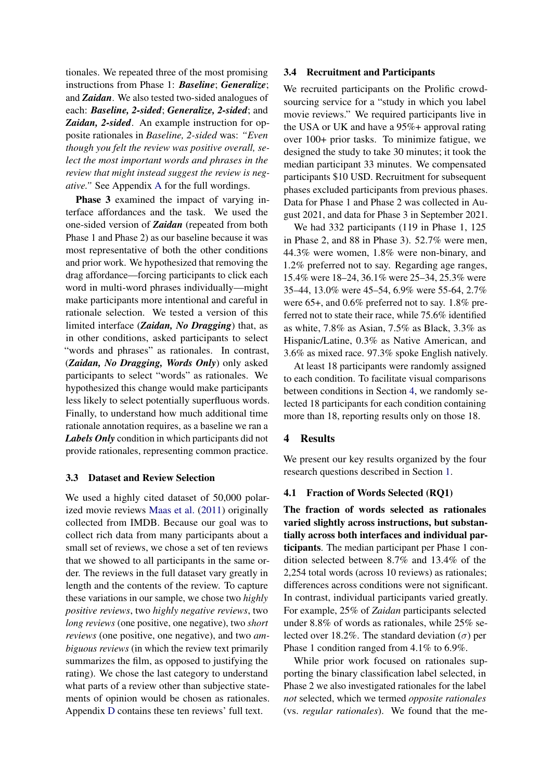tionales. We repeated three of the most promising instructions from Phase 1: *Baseline*; *Generalize*; and *Zaidan*. We also tested two-sided analogues of each: *Baseline, 2-sided*; *Generalize, 2-sided*; and *Zaidan, 2-sided*. An example instruction for opposite rationales in *Baseline, 2-sided* was: *"Even though you felt the review was positive overall, select the most important words and phrases in the review that might instead suggest the review is negative."* See Appendix [A](#page-9-11) for the full wordings.

Phase 3 examined the impact of varying interface affordances and the task. We used the one-sided version of *Zaidan* (repeated from both Phase 1 and Phase 2) as our baseline because it was most representative of both the other conditions and prior work. We hypothesized that removing the drag affordance—forcing participants to click each word in multi-word phrases individually—might make participants more intentional and careful in rationale selection. We tested a version of this limited interface (*Zaidan, No Dragging*) that, as in other conditions, asked participants to select "words and phrases" as rationales. In contrast, (*Zaidan, No Dragging, Words Only*) only asked participants to select "words" as rationales. We hypothesized this change would make participants less likely to select potentially superfluous words. Finally, to understand how much additional time rationale annotation requires, as a baseline we ran a *Labels Only* condition in which participants did not provide rationales, representing common practice.

### <span id="page-3-0"></span>3.3 Dataset and Review Selection

We used a highly cited dataset of 50,000 polarized movie reviews [Maas et al.](#page-8-9) [\(2011\)](#page-8-9) originally collected from IMDB. Because our goal was to collect rich data from many participants about a small set of reviews, we chose a set of ten reviews that we showed to all participants in the same order. The reviews in the full dataset vary greatly in length and the contents of the review. To capture these variations in our sample, we chose two *highly positive reviews*, two *highly negative reviews*, two *long reviews* (one positive, one negative), two *short reviews* (one positive, one negative), and two *ambiguous reviews* (in which the review text primarily summarizes the film, as opposed to justifying the rating). We chose the last category to understand what parts of a review other than subjective statements of opinion would be chosen as rationales. Appendix [D](#page-11-0) contains these ten reviews' full text.

#### 3.4 Recruitment and Participants

We recruited participants on the Prolific crowdsourcing service for a "study in which you label movie reviews." We required participants live in the USA or UK and have a 95%+ approval rating over 100+ prior tasks. To minimize fatigue, we designed the study to take 30 minutes; it took the median participant 33 minutes. We compensated participants \$10 USD. Recruitment for subsequent phases excluded participants from previous phases. Data for Phase 1 and Phase 2 was collected in August 2021, and data for Phase 3 in September 2021.

We had 332 participants (119 in Phase 1, 125 in Phase 2, and 88 in Phase 3). 52.7% were men, 44.3% were women, 1.8% were non-binary, and 1.2% preferred not to say. Regarding age ranges, 15.4% were 18–24, 36.1% were 25–34, 25.3% were 35–44, 13.0% were 45–54, 6.9% were 55-64, 2.7% were 65+, and 0.6% preferred not to say. 1.8% preferred not to state their race, while 75.6% identified as white, 7.8% as Asian, 7.5% as Black, 3.3% as Hispanic/Latine, 0.3% as Native American, and 3.6% as mixed race. 97.3% spoke English natively.

At least 18 participants were randomly assigned to each condition. To facilitate visual comparisons between conditions in Section [4,](#page-3-1) we randomly selected 18 participants for each condition containing more than 18, reporting results only on those 18.

#### <span id="page-3-1"></span>4 Results

We present our key results organized by the four research questions described in Section [1.](#page-0-1)

### <span id="page-3-2"></span>4.1 Fraction of Words Selected (RQ1)

The fraction of words selected as rationales varied slightly across instructions, but substantially across both interfaces and individual participants. The median participant per Phase 1 condition selected between 8.7% and 13.4% of the 2,254 total words (across 10 reviews) as rationales; differences across conditions were not significant. In contrast, individual participants varied greatly. For example, 25% of *Zaidan* participants selected under 8.8% of words as rationales, while 25% selected over 18.2%. The standard deviation  $(\sigma)$  per Phase 1 condition ranged from 4.1% to 6.9%.

While prior work focused on rationales supporting the binary classification label selected, in Phase 2 we also investigated rationales for the label *not* selected, which we termed *opposite rationales* (vs. *regular rationales*). We found that the me-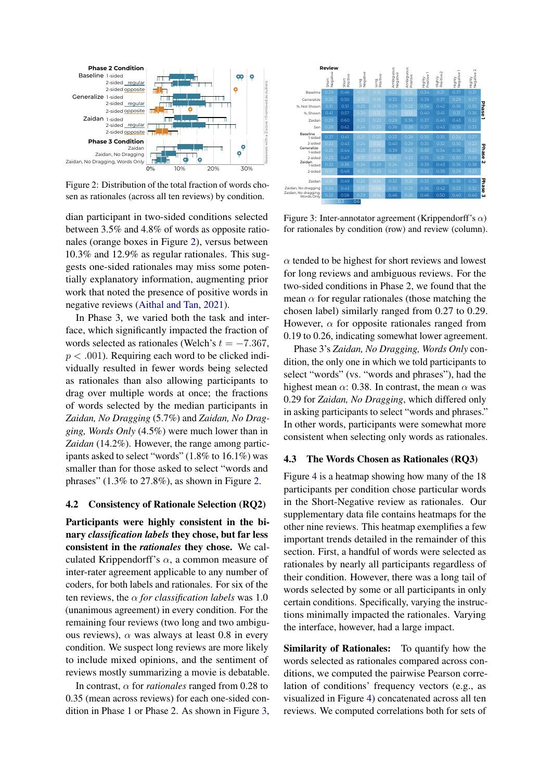<span id="page-4-0"></span>

Figure 2: Distribution of the total fraction of words chosen as rationales (across all ten reviews) by condition.

dian participant in two-sided conditions selected between 3.5% and 4.8% of words as opposite rationales (orange boxes in Figure [2\)](#page-4-0), versus between 10.3% and 12.9% as regular rationales. This suggests one-sided rationales may miss some potentially explanatory information, augmenting prior work that noted the presence of positive words in negative reviews [\(Aithal and Tan,](#page-8-10) [2021\)](#page-8-10).

In Phase 3, we varied both the task and interface, which significantly impacted the fraction of words selected as rationales (Welch's  $t = -7.367$ ,  $p < .001$ ). Requiring each word to be clicked individually resulted in fewer words being selected as rationales than also allowing participants to drag over multiple words at once; the fractions of words selected by the median participants in *Zaidan, No Dragging* (5.7%) and *Zaidan, No Dragging, Words Only* (4.5%) were much lower than in *Zaidan* (14.2%). However, the range among participants asked to select "words" (1.8% to 16.1%) was smaller than for those asked to select "words and phrases"  $(1.3\%$  to  $27.8\%)$ , as shown in Figure [2.](#page-4-0)

### 4.2 Consistency of Rationale Selection (RQ2)

Participants were highly consistent in the binary *classification labels* they chose, but far less consistent in the *rationales* they chose. We calculated Krippendorff's  $\alpha$ , a common measure of inter-rater agreement applicable to any number of coders, for both labels and rationales. For six of the ten reviews, the α *for classification labels* was 1.0 (unanimous agreement) in every condition. For the remaining four reviews (two long and two ambiguous reviews),  $\alpha$  was always at least 0.8 in every condition. We suspect long reviews are more likely to include mixed opinions, and the sentiment of reviews mostly summarizing a movie is debatable.

In contrast, α for *rationales* ranged from 0.28 to 0.35 (mean across reviews) for each one-sided condition in Phase 1 or Phase 2. As shown in Figure [3,](#page-4-1)

<span id="page-4-1"></span>

Figure 3: Inter-annotator agreement (Krippendorff's  $\alpha$ ) for rationales by condition (row) and review (column).

 $\alpha$  tended to be highest for short reviews and lowest for long reviews and ambiguous reviews. For the two-sided conditions in Phase 2, we found that the mean  $\alpha$  for regular rationales (those matching the chosen label) similarly ranged from 0.27 to 0.29. However,  $\alpha$  for opposite rationales ranged from 0.19 to 0.26, indicating somewhat lower agreement.

Phase 3's *Zaidan, No Dragging, Words Only* condition, the only one in which we told participants to select "words" (vs. "words and phrases"), had the highest mean  $\alpha$ : 0.38. In contrast, the mean  $\alpha$  was 0.29 for *Zaidan, No Dragging*, which differed only in asking participants to select "words and phrases." In other words, participants were somewhat more consistent when selecting only words as rationales.

#### 4.3 The Words Chosen as Rationales (RQ3)

Figure [4](#page-5-0) is a heatmap showing how many of the 18 participants per condition chose particular words in the Short-Negative review as rationales. Our supplementary data file contains heatmaps for the other nine reviews. This heatmap exemplifies a few important trends detailed in the remainder of this section. First, a handful of words were selected as rationales by nearly all participants regardless of their condition. However, there was a long tail of words selected by some or all participants in only certain conditions. Specifically, varying the instructions minimally impacted the rationales. Varying the interface, however, had a large impact.

Similarity of Rationales: To quantify how the words selected as rationales compared across conditions, we computed the pairwise Pearson correlation of conditions' frequency vectors (e.g., as visualized in Figure [4\)](#page-5-0) concatenated across all ten reviews. We computed correlations both for sets of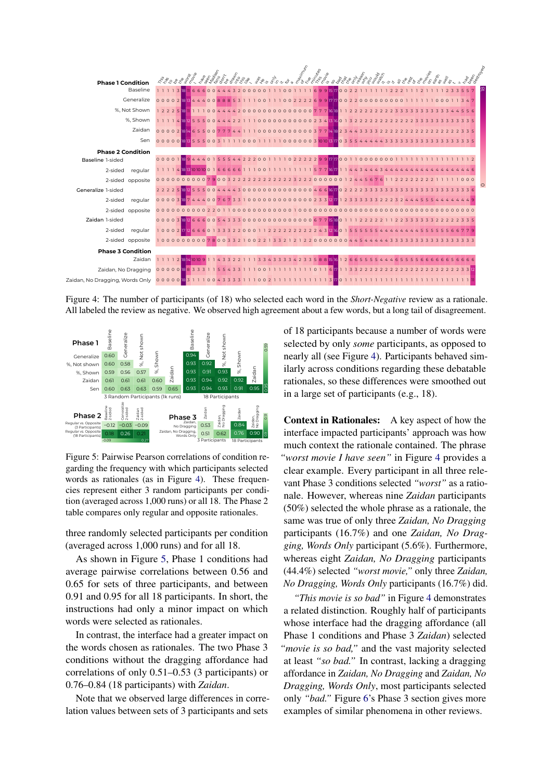<span id="page-5-0"></span>

Figure 4: The number of participants (of 18) who selected each word in the *Short-Negative* review as a rationale. All labeled the review as negative. We observed high agreement about a few words, but a long tail of disagreement.

<span id="page-5-1"></span>

Figure 5: Pairwise Pearson correlations of condition regarding the frequency with which participants selected words as rationales (as in Figure [4\)](#page-5-0). These frequencies represent either 3 random participants per condition (averaged across 1,000 runs) or all 18. The Phase 2 table compares only regular and opposite rationales.

three randomly selected participants per condition (averaged across 1,000 runs) and for all 18.

As shown in Figure [5,](#page-5-1) Phase 1 conditions had average pairwise correlations between 0.56 and 0.65 for sets of three participants, and between 0.91 and 0.95 for all 18 participants. In short, the instructions had only a minor impact on which words were selected as rationales.

In contrast, the interface had a greater impact on the words chosen as rationales. The two Phase 3 conditions without the dragging affordance had correlations of only 0.51–0.53 (3 participants) or 0.76–0.84 (18 participants) with *Zaidan*.

Note that we observed large differences in correlation values between sets of 3 participants and sets

of 18 participants because a number of words were selected by only *some* participants, as opposed to nearly all (see Figure [4\)](#page-5-0). Participants behaved similarly across conditions regarding these debatable rationales, so these differences were smoothed out in a large set of participants (e.g., 18).

Context in Rationales: A key aspect of how the interface impacted participants' approach was how much context the rationale contained. The phrase *"worst movie I have seen"* in Figure [4](#page-5-0) provides a clear example. Every participant in all three relevant Phase 3 conditions selected *"worst"* as a rationale. However, whereas nine *Zaidan* participants (50%) selected the whole phrase as a rationale, the same was true of only three *Zaidan, No Dragging* participants (16.7%) and one *Zaidan, No Dragging, Words Only* participant (5.6%). Furthermore, whereas eight *Zaidan, No Dragging* participants (44.4%) selected *"worst movie,"* only three *Zaidan, No Dragging, Words Only* participants (16.7%) did.

*"This movie is so bad"* in Figure [4](#page-5-0) demonstrates a related distinction. Roughly half of participants whose interface had the dragging affordance (all Phase 1 conditions and Phase 3 *Zaidan*) selected *"movie is so bad,"* and the vast majority selected at least *"so bad."* In contrast, lacking a dragging affordance in *Zaidan, No Dragging* and *Zaidan, No Dragging, Words Only*, most participants selected only *"bad."* Figure [6'](#page-6-0)s Phase 3 section gives more examples of similar phenomena in other reviews.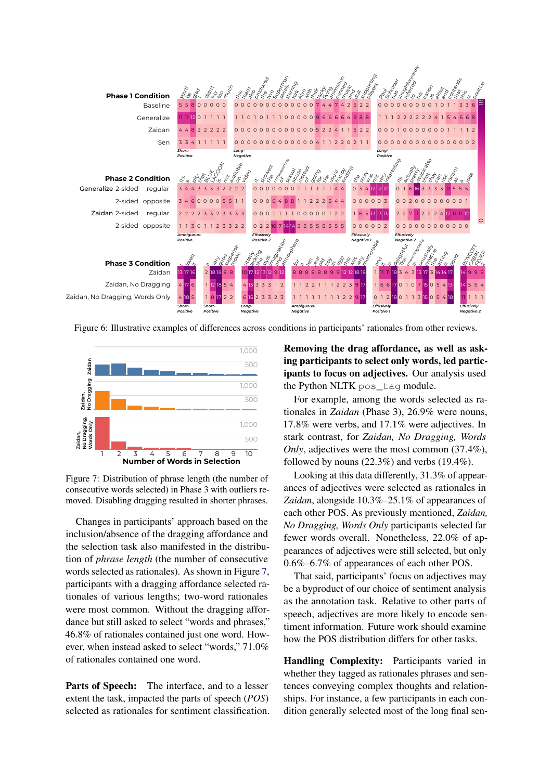<span id="page-6-0"></span>

Figure 6: Illustrative examples of differences across conditions in participants' rationales from other reviews.

<span id="page-6-1"></span>

Figure 7: Distribution of phrase length (the number of consecutive words selected) in Phase 3 with outliers removed. Disabling dragging resulted in shorter phrases.

Changes in participants' approach based on the inclusion/absence of the dragging affordance and the selection task also manifested in the distribution of *phrase length* (the number of consecutive words selected as rationales). As shown in Figure [7,](#page-6-1) participants with a dragging affordance selected rationales of various lengths; two-word rationales were most common. Without the dragging affordance but still asked to select "words and phrases," 46.8% of rationales contained just one word. However, when instead asked to select "words," 71.0% of rationales contained one word.

Parts of Speech: The interface, and to a lesser extent the task, impacted the parts of speech (*POS*) selected as rationales for sentiment classification. Removing the drag affordance, as well as asking participants to select only words, led participants to focus on adjectives. Our analysis used the Python NLTK pos\_tag module.

For example, among the words selected as rationales in *Zaidan* (Phase 3), 26.9% were nouns, 17.8% were verbs, and 17.1% were adjectives. In stark contrast, for *Zaidan, No Dragging, Words Only*, adjectives were the most common (37.4%), followed by nouns  $(22.3\%)$  and verbs  $(19.4\%)$ .

Looking at this data differently, 31.3% of appearances of adjectives were selected as rationales in *Zaidan*, alongside 10.3%–25.1% of appearances of each other POS. As previously mentioned, *Zaidan, No Dragging, Words Only* participants selected far fewer words overall. Nonetheless, 22.0% of appearances of adjectives were still selected, but only 0.6%–6.7% of appearances of each other POS.

That said, participants' focus on adjectives may be a byproduct of our choice of sentiment analysis as the annotation task. Relative to other parts of speech, adjectives are more likely to encode sentiment information. Future work should examine how the POS distribution differs for other tasks.

Handling Complexity: Participants varied in whether they tagged as rationales phrases and sentences conveying complex thoughts and relationships. For instance, a few participants in each condition generally selected most of the long final sen-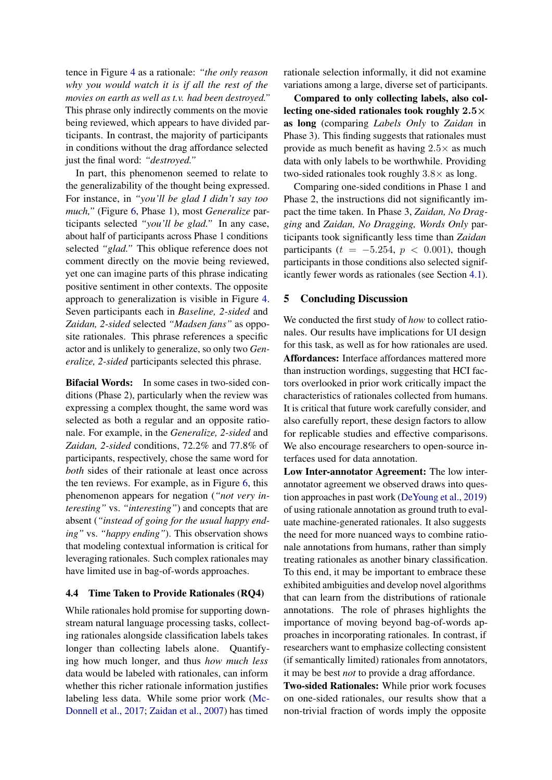tence in Figure [4](#page-5-0) as a rationale: *"the only reason why you would watch it is if all the rest of the movies on earth as well as t.v. had been destroyed."* This phrase only indirectly comments on the movie being reviewed, which appears to have divided participants. In contrast, the majority of participants in conditions without the drag affordance selected just the final word: *"destroyed."*

In part, this phenomenon seemed to relate to the generalizability of the thought being expressed. For instance, in *"you'll be glad I didn't say too much,"* (Figure [6,](#page-6-0) Phase 1), most *Generalize* participants selected *"you'll be glad."* In any case, about half of participants across Phase 1 conditions selected *"glad."* This oblique reference does not comment directly on the movie being reviewed, yet one can imagine parts of this phrase indicating positive sentiment in other contexts. The opposite approach to generalization is visible in Figure [4.](#page-5-0) Seven participants each in *Baseline, 2-sided* and *Zaidan, 2-sided* selected *"Madsen fans"* as opposite rationales. This phrase references a specific actor and is unlikely to generalize, so only two *Generalize, 2-sided* participants selected this phrase.

Bifacial Words: In some cases in two-sided conditions (Phase 2), particularly when the review was expressing a complex thought, the same word was selected as both a regular and an opposite rationale. For example, in the *Generalize, 2-sided* and *Zaidan, 2-sided* conditions, 72.2% and 77.8% of participants, respectively, chose the same word for *both* sides of their rationale at least once across the ten reviews. For example, as in Figure [6,](#page-6-0) this phenomenon appears for negation (*"not very interesting"* vs. *"interesting"*) and concepts that are absent (*"instead of going for the usual happy ending"* vs. *"happy ending"*). This observation shows that modeling contextual information is critical for leveraging rationales. Such complex rationales may have limited use in bag-of-words approaches.

### 4.4 Time Taken to Provide Rationales (RQ4)

While rationales hold promise for supporting downstream natural language processing tasks, collecting rationales alongside classification labels takes longer than collecting labels alone. Quantifying how much longer, and thus *how much less* data would be labeled with rationales, can inform whether this richer rationale information justifies labeling less data. While some prior work [\(Mc-](#page-9-5)[Donnell et al.,](#page-9-5) [2017;](#page-9-5) [Zaidan et al.,](#page-9-2) [2007\)](#page-9-2) has timed

rationale selection informally, it did not examine variations among a large, diverse set of participants.

Compared to only collecting labels, also collecting one-sided rationales took roughly  $2.5\times$ as long (comparing *Labels Only* to *Zaidan* in Phase 3). This finding suggests that rationales must provide as much benefit as having  $2.5\times$  as much data with only labels to be worthwhile. Providing two-sided rationales took roughly  $3.8\times$  as long.

Comparing one-sided conditions in Phase 1 and Phase 2, the instructions did not significantly impact the time taken. In Phase 3, *Zaidan, No Dragging* and *Zaidan, No Dragging, Words Only* participants took significantly less time than *Zaidan* participants ( $t = -5.254$ ,  $p < 0.001$ ), though participants in those conditions also selected significantly fewer words as rationales (see Section [4.1\)](#page-3-2).

#### 5 Concluding Discussion

We conducted the first study of *how* to collect rationales. Our results have implications for UI design for this task, as well as for how rationales are used. Affordances: Interface affordances mattered more than instruction wordings, suggesting that HCI factors overlooked in prior work critically impact the characteristics of rationales collected from humans. It is critical that future work carefully consider, and also carefully report, these design factors to allow for replicable studies and effective comparisons. We also encourage researchers to open-source interfaces used for data annotation.

Low Inter-annotator Agreement: The low interannotator agreement we observed draws into question approaches in past work [\(DeYoung et al.,](#page-8-2) [2019\)](#page-8-2) of using rationale annotation as ground truth to evaluate machine-generated rationales. It also suggests the need for more nuanced ways to combine rationale annotations from humans, rather than simply treating rationales as another binary classification. To this end, it may be important to embrace these exhibited ambiguities and develop novel algorithms that can learn from the distributions of rationale annotations. The role of phrases highlights the importance of moving beyond bag-of-words approaches in incorporating rationales. In contrast, if researchers want to emphasize collecting consistent (if semantically limited) rationales from annotators, it may be best *not* to provide a drag affordance.

Two-sided Rationales: While prior work focuses on one-sided rationales, our results show that a non-trivial fraction of words imply the opposite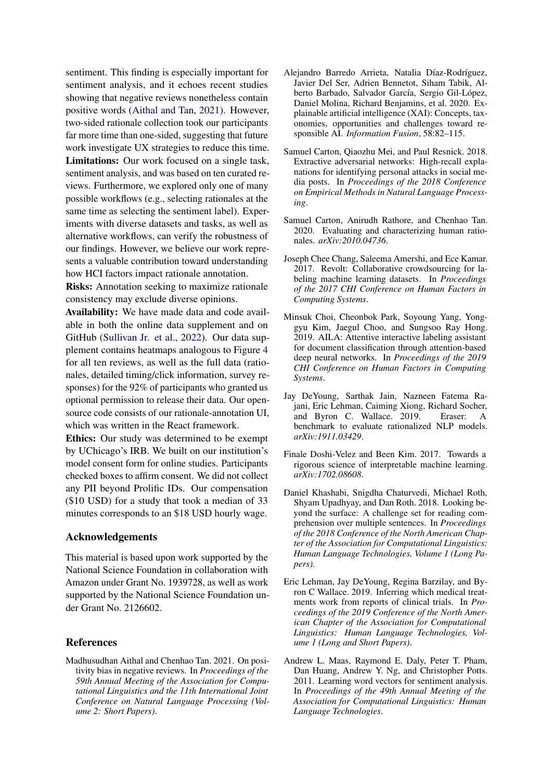sentiment. This finding is especially important for sentiment analysis, and it echoes recent studies showing that negative reviews nonetheless contain positive words [\(Aithal and Tan,](#page-8-10) [2021\)](#page-8-10). However, two-sided rationale collection took our participants far more time than one-sided, suggesting that future work investigate UX strategies to reduce this time. Limitations: Our work focused on a single task, sentiment analysis, and was based on ten curated reviews. Furthermore, we explored only one of many possible workflows (e.g., selecting rationales at the same time as selecting the sentiment label). Experiments with diverse datasets and tasks, as well as alternative workflows, can verify the robustness of our findings. However, we believe our work represents a valuable contribution toward understanding how HCI factors impact rationale annotation.

Risks: Annotation seeking to maximize rationale consistency may exclude diverse opinions.

Availability: We have made data and code available in both the online data supplement and on GitHub [\(Sullivan Jr. et al.,](#page-9-12) [2022\)](#page-9-12). Our data supplement contains heatmaps analogous to Figure [4](#page-5-0) for all ten reviews, as well as the full data (rationales, detailed timing/click information, survey responses) for the 92% of participants who granted us optional permission to release their data. Our opensource code consists of our rationale-annotation UI, which was written in the React framework.

Ethics: Our study was determined to be exempt by UChicago's IRB. We built on our institution's model consent form for online studies. Participants checked boxes to affirm consent. We did not collect any PII beyond Prolific IDs. Our compensation (\$10 USD) for a study that took a median of 33 minutes corresponds to an \$18 USD hourly wage.

#### Acknowledgements

This material is based upon work supported by the National Science Foundation in collaboration with Amazon under Grant No. 1939728, as well as work supported by the National Science Foundation under Grant No. 2126602.

### References

<span id="page-8-10"></span>Madhusudhan Aithal and Chenhao Tan. 2021. On positivity bias in negative reviews. In *Proceedings of the 59th Annual Meeting of the Association for Computational Linguistics and the 11th International Joint Conference on Natural Language Processing (Volume 2: Short Papers)*.

- <span id="page-8-1"></span>Alejandro Barredo Arrieta, Natalia Díaz-Rodríguez, Javier Del Ser, Adrien Bennetot, Siham Tabik, Alberto Barbado, Salvador García, Sergio Gil-López, Daniel Molina, Richard Benjamins, et al. 2020. Explainable artificial intelligence (XAI): Concepts, taxonomies, opportunities and challenges toward responsible AI. *Information Fusion*, 58:82–115.
- <span id="page-8-5"></span>Samuel Carton, Qiaozhu Mei, and Paul Resnick. 2018. Extractive adversarial networks: High-recall explanations for identifying personal attacks in social media posts. In *Proceedings of the 2018 Conference on Empirical Methods in Natural Language Processing*.
- <span id="page-8-7"></span>Samuel Carton, Anirudh Rathore, and Chenhao Tan. 2020. Evaluating and characterizing human rationales. *arXiv:2010.04736*.
- <span id="page-8-8"></span>Joseph Chee Chang, Saleema Amershi, and Ece Kamar. 2017. Revolt: Collaborative crowdsourcing for labeling machine learning datasets. In *Proceedings of the 2017 CHI Conference on Human Factors in Computing Systems*.
- <span id="page-8-6"></span>Minsuk Choi, Cheonbok Park, Soyoung Yang, Yonggyu Kim, Jaegul Choo, and Sungsoo Ray Hong. 2019. AILA: Attentive interactive labeling assistant for document classification through attention-based deep neural networks. In *Proceedings of the 2019 CHI Conference on Human Factors in Computing Systems*.
- <span id="page-8-2"></span>Jay DeYoung, Sarthak Jain, Nazneen Fatema Rajani, Eric Lehman, Caiming Xiong, Richard Socher, and Byron C. Wallace. 2019. Eraser: A benchmark to evaluate rationalized NLP models. *arXiv:1911.03429*.
- <span id="page-8-0"></span>Finale Doshi-Velez and Been Kim. 2017. Towards a rigorous science of interpretable machine learning. *arXiv:1702.08608*.
- <span id="page-8-4"></span>Daniel Khashabi, Snigdha Chaturvedi, Michael Roth, Shyam Upadhyay, and Dan Roth. 2018. Looking beyond the surface: A challenge set for reading comprehension over multiple sentences. In *Proceedings of the 2018 Conference of the North American Chapter of the Association for Computational Linguistics: Human Language Technologies, Volume 1 (Long Papers)*.
- <span id="page-8-3"></span>Eric Lehman, Jay DeYoung, Regina Barzilay, and Byron C Wallace. 2019. Inferring which medical treatments work from reports of clinical trials. In *Proceedings of the 2019 Conference of the North American Chapter of the Association for Computational Linguistics: Human Language Technologies, Volume 1 (Long and Short Papers)*.
- <span id="page-8-9"></span>Andrew L. Maas, Raymond E. Daly, Peter T. Pham, Dan Huang, Andrew Y. Ng, and Christopher Potts. 2011. Learning word vectors for sentiment analysis. In *Proceedings of the 49th Annual Meeting of the Association for Computational Linguistics: Human Language Technologies*.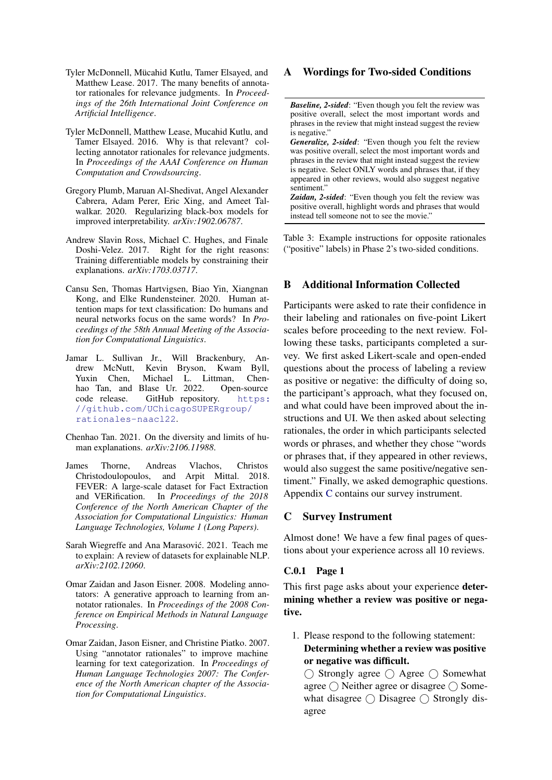- <span id="page-9-5"></span>Tyler McDonnell, Mücahid Kutlu, Tamer Elsayed, and Matthew Lease. 2017. The many benefits of annotator rationales for relevance judgments. In *Proceedings of the 26th International Joint Conference on Artificial Intelligence*.
- <span id="page-9-4"></span>Tyler McDonnell, Matthew Lease, Mucahid Kutlu, and Tamer Elsayed. 2016. Why is that relevant? collecting annotator rationales for relevance judgments. In *Proceedings of the AAAI Conference on Human Computation and Crowdsourcing*.
- <span id="page-9-8"></span>Gregory Plumb, Maruan Al-Shedivat, Angel Alexander Cabrera, Adam Perer, Eric Xing, and Ameet Talwalkar. 2020. Regularizing black-box models for improved interpretability. *arXiv:1902.06787*.
- <span id="page-9-9"></span>Andrew Slavin Ross, Michael C. Hughes, and Finale Doshi-Velez. 2017. Right for the right reasons: Training differentiable models by constraining their explanations. *arXiv:1703.03717*.
- <span id="page-9-3"></span>Cansu Sen, Thomas Hartvigsen, Biao Yin, Xiangnan Kong, and Elke Rundensteiner. 2020. Human attention maps for text classification: Do humans and neural networks focus on the same words? In *Proceedings of the 58th Annual Meeting of the Association for Computational Linguistics*.
- <span id="page-9-12"></span>Jamar L. Sullivan Jr., Will Brackenbury, Andrew McNutt, Kevin Bryson, Kwam Byll, Yuxin Chen, Michael L. Littman, Chenhao Tan, and Blase Ur. 2022. Open-source code release. GitHub repository. [https:](https://github.com/UChicagoSUPERgroup/rationales-naacl22) [//github.com/UChicagoSUPERgroup/](https://github.com/UChicagoSUPERgroup/rationales-naacl22) [rationales-naacl22](https://github.com/UChicagoSUPERgroup/rationales-naacl22).
- <span id="page-9-1"></span>Chenhao Tan. 2021. On the diversity and limits of human explanations. *arXiv:2106.11988*.
- <span id="page-9-7"></span>James Thorne, Andreas Vlachos, Christos Christodoulopoulos, and Arpit Mittal. 2018. FEVER: A large-scale dataset for Fact Extraction and VERification. In *Proceedings of the 2018 Conference of the North American Chapter of the Association for Computational Linguistics: Human Language Technologies, Volume 1 (Long Papers)*.
- <span id="page-9-0"></span>Sarah Wiegreffe and Ana Marasović. 2021. Teach me to explain: A review of datasets for explainable NLP. *arXiv:2102.12060*.
- <span id="page-9-6"></span>Omar Zaidan and Jason Eisner. 2008. Modeling annotators: A generative approach to learning from annotator rationales. In *Proceedings of the 2008 Conference on Empirical Methods in Natural Language Processing*.
- <span id="page-9-2"></span>Omar Zaidan, Jason Eisner, and Christine Piatko. 2007. Using "annotator rationales" to improve machine learning for text categorization. In *Proceedings of Human Language Technologies 2007: The Conference of the North American chapter of the Association for Computational Linguistics*.

## <span id="page-9-11"></span>A Wordings for Two-sided Conditions

*Baseline, 2-sided*: "Even though you felt the review was positive overall, select the most important words and phrases in the review that might instead suggest the review is negative."

*Generalize, 2-sided*: "Even though you felt the review was positive overall, select the most important words and phrases in the review that might instead suggest the review is negative. Select ONLY words and phrases that, if they appeared in other reviews, would also suggest negative sentiment."

*Zaidan, 2-sided*: "Even though you felt the review was positive overall, highlight words and phrases that would instead tell someone not to see the movie."

Table 3: Example instructions for opposite rationales ("positive" labels) in Phase 2's two-sided conditions.

### <span id="page-9-10"></span>B Additional Information Collected

Participants were asked to rate their confidence in their labeling and rationales on five-point Likert scales before proceeding to the next review. Following these tasks, participants completed a survey. We first asked Likert-scale and open-ended questions about the process of labeling a review as positive or negative: the difficulty of doing so, the participant's approach, what they focused on, and what could have been improved about the instructions and UI. We then asked about selecting rationales, the order in which participants selected words or phrases, and whether they chose "words or phrases that, if they appeared in other reviews, would also suggest the same positive/negative sentiment." Finally, we asked demographic questions. Appendix [C](#page-9-13) contains our survey instrument.

### <span id="page-9-13"></span>C Survey Instrument

Almost done! We have a few final pages of questions about your experience across all 10 reviews.

#### C.0.1 Page 1

This first page asks about your experience determining whether a review was positive or negative.

1. Please respond to the following statement: Determining whether a review was positive or negative was difficult.

 $\bigcirc$  Strongly agree  $\bigcirc$  Agree  $\bigcirc$  Somewhat agree  $\bigcap$  Neither agree or disagree  $\bigcap$  Somewhat disagree  $\bigcap$  Disagree  $\bigcap$  Strongly disagree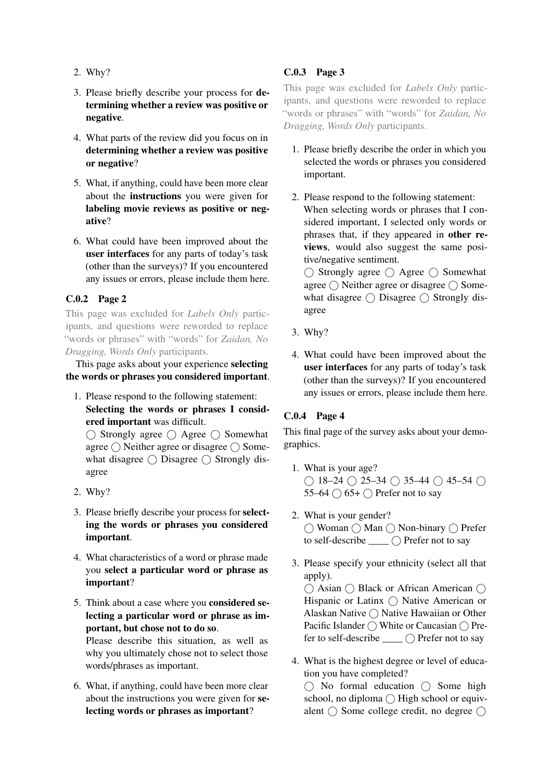- 2. Why?
- 3. Please briefly describe your process for determining whether a review was positive or negative.
- 4. What parts of the review did you focus on in determining whether a review was positive or negative?
- 5. What, if anything, could have been more clear about the instructions you were given for labeling movie reviews as positive or negative?
- 6. What could have been improved about the user interfaces for any parts of today's task (other than the surveys)? If you encountered any issues or errors, please include them here.

## C.0.2 Page 2

This page was excluded for *Labels Only* participants, and questions were reworded to replace "words or phrases" with "words" for *Zaidan, No Dragging, Words Only* participants.

This page asks about your experience selecting the words or phrases you considered important.

1. Please respond to the following statement: Selecting the words or phrases I considered important was difficult.

 $\bigcirc$  Strongly agree  $\bigcirc$  Agree  $\bigcirc$  Somewhat agree  $\bigcap$  Neither agree or disagree  $\bigcap$  Somewhat disagree  $\bigcirc$  Disagree  $\bigcirc$  Strongly disagree

- 2. Why?
- 3. Please briefly describe your process for selecting the words or phrases you considered important.
- 4. What characteristics of a word or phrase made you select a particular word or phrase as important?
- 5. Think about a case where you considered selecting a particular word or phrase as important, but chose not to do so. Please describe this situation, as well as

why you ultimately chose not to select those words/phrases as important.

6. What, if anything, could have been more clear about the instructions you were given for selecting words or phrases as important?

## C.0.3 Page 3

This page was excluded for *Labels Only* participants, and questions were reworded to replace "words or phrases" with "words" for *Zaidan, No Dragging, Words Only* participants.

- 1. Please briefly describe the order in which you selected the words or phrases you considered important.
- 2. Please respond to the following statement: When selecting words or phrases that I considered important, I selected only words or phrases that, if they appeared in other reviews, would also suggest the same positive/negative sentiment.

 $\bigcap$  Strongly agree  $\bigcap$  Agree  $\bigcap$  Somewhat agree  $\bigcirc$  Neither agree or disagree  $\bigcirc$  Somewhat disagree  $\bigcirc$  Disagree  $\bigcirc$  Strongly disagree

- 3. Why?
- 4. What could have been improved about the user interfaces for any parts of today's task (other than the surveys)? If you encountered any issues or errors, please include them here.

## C.0.4 Page 4

This final page of the survey asks about your demographics.

- 1. What is your age?  $\bigcap$  18–24  $\bigcap$  25–34  $\bigcap$  35–44  $\bigcap$  45–54  $\bigcap$ 55–64  $\bigcirc$  65+  $\bigcirc$  Prefer not to say
- 2. What is your gender? ◯ Woman () Man () Non-binary () Prefer to self-describe \_\_\_\_ Prefer not to say
- 3. Please specify your ethnicity (select all that apply).

 $\bigcirc$  Asian  $\bigcirc$  Black or African American  $\bigcirc$ Hispanic or Latinx  $\bigcirc$  Native American or Alaskan Native ∩ Native Hawaiian or Other Pacific Islander  $\bigcap$  White or Caucasian  $\bigcap$  Prefer to self-describe  $\_\_$   $\cap$  Prefer not to say

4. What is the highest degree or level of education you have completed?

 $\cap$  No formal education  $\cap$  Some high school, no diploma  $\bigcap$  High school or equivalent  $\bigcap$  Some college credit, no degree  $\bigcap$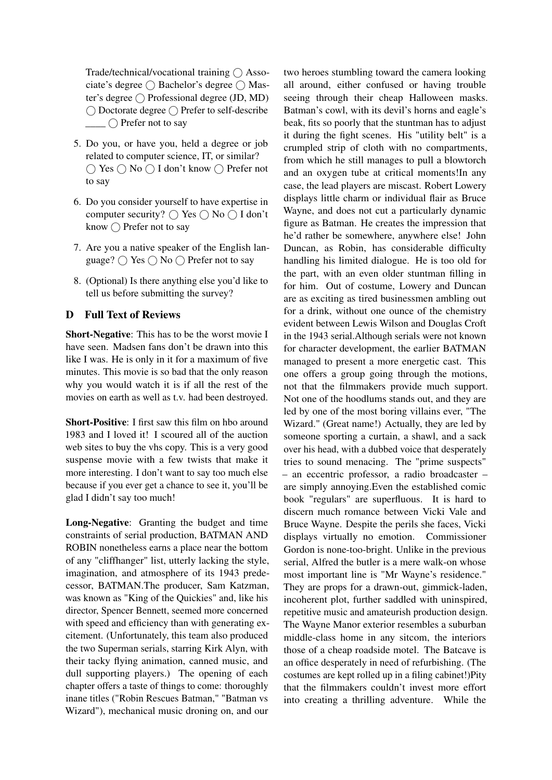Trade/technical/vocational training  $\bigcap$  Associate's degree  $\bigcap$  Bachelor's degree  $\bigcap$  Master's degree  $\bigcap$  Professional degree (JD, MD) ◯ Doctorate degree ◯ Prefer to self-describe  $\bigcap$  Prefer not to say

- 5. Do you, or have you, held a degree or job related to computer science, IT, or similar?  $\bigcap$  Yes  $\bigcap$  No  $\bigcap$  I don't know  $\bigcap$  Prefer not to say
- 6. Do you consider yourself to have expertise in computer security?  $\bigcap$  Yes  $\bigcap$  No  $\bigcap$  I don't know  $\bigcirc$  Prefer not to say
- 7. Are you a native speaker of the English language?  $\bigcap$  Yes  $\bigcap$  No  $\bigcap$  Prefer not to say
- 8. (Optional) Is there anything else you'd like to tell us before submitting the survey?

## <span id="page-11-0"></span>D Full Text of Reviews

Short-Negative: This has to be the worst movie I have seen. Madsen fans don't be drawn into this like I was. He is only in it for a maximum of five minutes. This movie is so bad that the only reason why you would watch it is if all the rest of the movies on earth as well as t.v. had been destroyed.

Short-Positive: I first saw this film on hbo around 1983 and I loved it! I scoured all of the auction web sites to buy the vhs copy. This is a very good suspense movie with a few twists that make it more interesting. I don't want to say too much else because if you ever get a chance to see it, you'll be glad I didn't say too much!

Long-Negative: Granting the budget and time constraints of serial production, BATMAN AND ROBIN nonetheless earns a place near the bottom of any "cliffhanger" list, utterly lacking the style, imagination, and atmosphere of its 1943 predecessor, BATMAN.The producer, Sam Katzman, was known as "King of the Quickies" and, like his director, Spencer Bennett, seemed more concerned with speed and efficiency than with generating excitement. (Unfortunately, this team also produced the two Superman serials, starring Kirk Alyn, with their tacky flying animation, canned music, and dull supporting players.) The opening of each chapter offers a taste of things to come: thoroughly inane titles ("Robin Rescues Batman," "Batman vs Wizard"), mechanical music droning on, and our

two heroes stumbling toward the camera looking all around, either confused or having trouble seeing through their cheap Halloween masks. Batman's cowl, with its devil's horns and eagle's beak, fits so poorly that the stuntman has to adjust it during the fight scenes. His "utility belt" is a crumpled strip of cloth with no compartments, from which he still manages to pull a blowtorch and an oxygen tube at critical moments!In any case, the lead players are miscast. Robert Lowery displays little charm or individual flair as Bruce Wayne, and does not cut a particularly dynamic figure as Batman. He creates the impression that he'd rather be somewhere, anywhere else! John Duncan, as Robin, has considerable difficulty handling his limited dialogue. He is too old for the part, with an even older stuntman filling in for him. Out of costume, Lowery and Duncan are as exciting as tired businessmen ambling out for a drink, without one ounce of the chemistry evident between Lewis Wilson and Douglas Croft in the 1943 serial.Although serials were not known for character development, the earlier BATMAN managed to present a more energetic cast. This one offers a group going through the motions, not that the filmmakers provide much support. Not one of the hoodlums stands out, and they are led by one of the most boring villains ever, "The Wizard." (Great name!) Actually, they are led by someone sporting a curtain, a shawl, and a sack over his head, with a dubbed voice that desperately tries to sound menacing. The "prime suspects" – an eccentric professor, a radio broadcaster – are simply annoying.Even the established comic book "regulars" are superfluous. It is hard to discern much romance between Vicki Vale and Bruce Wayne. Despite the perils she faces, Vicki displays virtually no emotion. Commissioner Gordon is none-too-bright. Unlike in the previous serial, Alfred the butler is a mere walk-on whose most important line is "Mr Wayne's residence." They are props for a drawn-out, gimmick-laden, incoherent plot, further saddled with uninspired, repetitive music and amateurish production design. The Wayne Manor exterior resembles a suburban middle-class home in any sitcom, the interiors those of a cheap roadside motel. The Batcave is an office desperately in need of refurbishing. (The costumes are kept rolled up in a filing cabinet!)Pity that the filmmakers couldn't invest more effort into creating a thrilling adventure. While the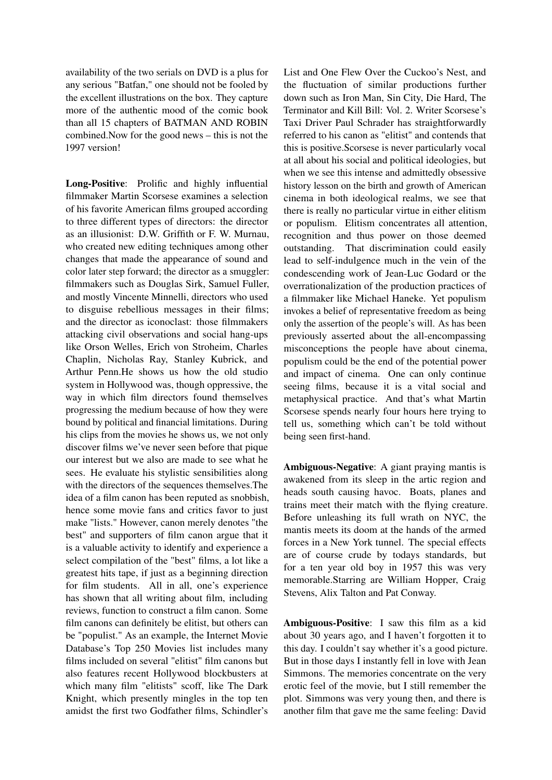availability of the two serials on DVD is a plus for any serious "Batfan," one should not be fooled by the excellent illustrations on the box. They capture more of the authentic mood of the comic book than all 15 chapters of BATMAN AND ROBIN combined.Now for the good news – this is not the 1997 version!

Long-Positive: Prolific and highly influential filmmaker Martin Scorsese examines a selection of his favorite American films grouped according to three different types of directors: the director as an illusionist: D.W. Griffith or F. W. Murnau, who created new editing techniques among other changes that made the appearance of sound and color later step forward; the director as a smuggler: filmmakers such as Douglas Sirk, Samuel Fuller, and mostly Vincente Minnelli, directors who used to disguise rebellious messages in their films; and the director as iconoclast: those filmmakers attacking civil observations and social hang-ups like Orson Welles, Erich von Stroheim, Charles Chaplin, Nicholas Ray, Stanley Kubrick, and Arthur Penn.He shows us how the old studio system in Hollywood was, though oppressive, the way in which film directors found themselves progressing the medium because of how they were bound by political and financial limitations. During his clips from the movies he shows us, we not only discover films we've never seen before that pique our interest but we also are made to see what he sees. He evaluate his stylistic sensibilities along with the directors of the sequences themselves.The idea of a film canon has been reputed as snobbish, hence some movie fans and critics favor to just make "lists." However, canon merely denotes "the best" and supporters of film canon argue that it is a valuable activity to identify and experience a select compilation of the "best" films, a lot like a greatest hits tape, if just as a beginning direction for film students. All in all, one's experience has shown that all writing about film, including reviews, function to construct a film canon. Some film canons can definitely be elitist, but others can be "populist." As an example, the Internet Movie Database's Top 250 Movies list includes many films included on several "elitist" film canons but also features recent Hollywood blockbusters at which many film "elitists" scoff, like The Dark Knight, which presently mingles in the top ten amidst the first two Godfather films, Schindler's

List and One Flew Over the Cuckoo's Nest, and the fluctuation of similar productions further down such as Iron Man, Sin City, Die Hard, The Terminator and Kill Bill: Vol. 2. Writer Scorsese's Taxi Driver Paul Schrader has straightforwardly referred to his canon as "elitist" and contends that this is positive.Scorsese is never particularly vocal at all about his social and political ideologies, but when we see this intense and admittedly obsessive history lesson on the birth and growth of American cinema in both ideological realms, we see that there is really no particular virtue in either elitism or populism. Elitism concentrates all attention, recognition and thus power on those deemed outstanding. That discrimination could easily lead to self-indulgence much in the vein of the condescending work of Jean-Luc Godard or the overrationalization of the production practices of a filmmaker like Michael Haneke. Yet populism invokes a belief of representative freedom as being only the assertion of the people's will. As has been previously asserted about the all-encompassing misconceptions the people have about cinema, populism could be the end of the potential power and impact of cinema. One can only continue seeing films, because it is a vital social and metaphysical practice. And that's what Martin Scorsese spends nearly four hours here trying to tell us, something which can't be told without being seen first-hand.

Ambiguous-Negative: A giant praying mantis is awakened from its sleep in the artic region and heads south causing havoc. Boats, planes and trains meet their match with the flying creature. Before unleashing its full wrath on NYC, the mantis meets its doom at the hands of the armed forces in a New York tunnel. The special effects are of course crude by todays standards, but for a ten year old boy in 1957 this was very memorable.Starring are William Hopper, Craig Stevens, Alix Talton and Pat Conway.

Ambiguous-Positive: I saw this film as a kid about 30 years ago, and I haven't forgotten it to this day. I couldn't say whether it's a good picture. But in those days I instantly fell in love with Jean Simmons. The memories concentrate on the very erotic feel of the movie, but I still remember the plot. Simmons was very young then, and there is another film that gave me the same feeling: David